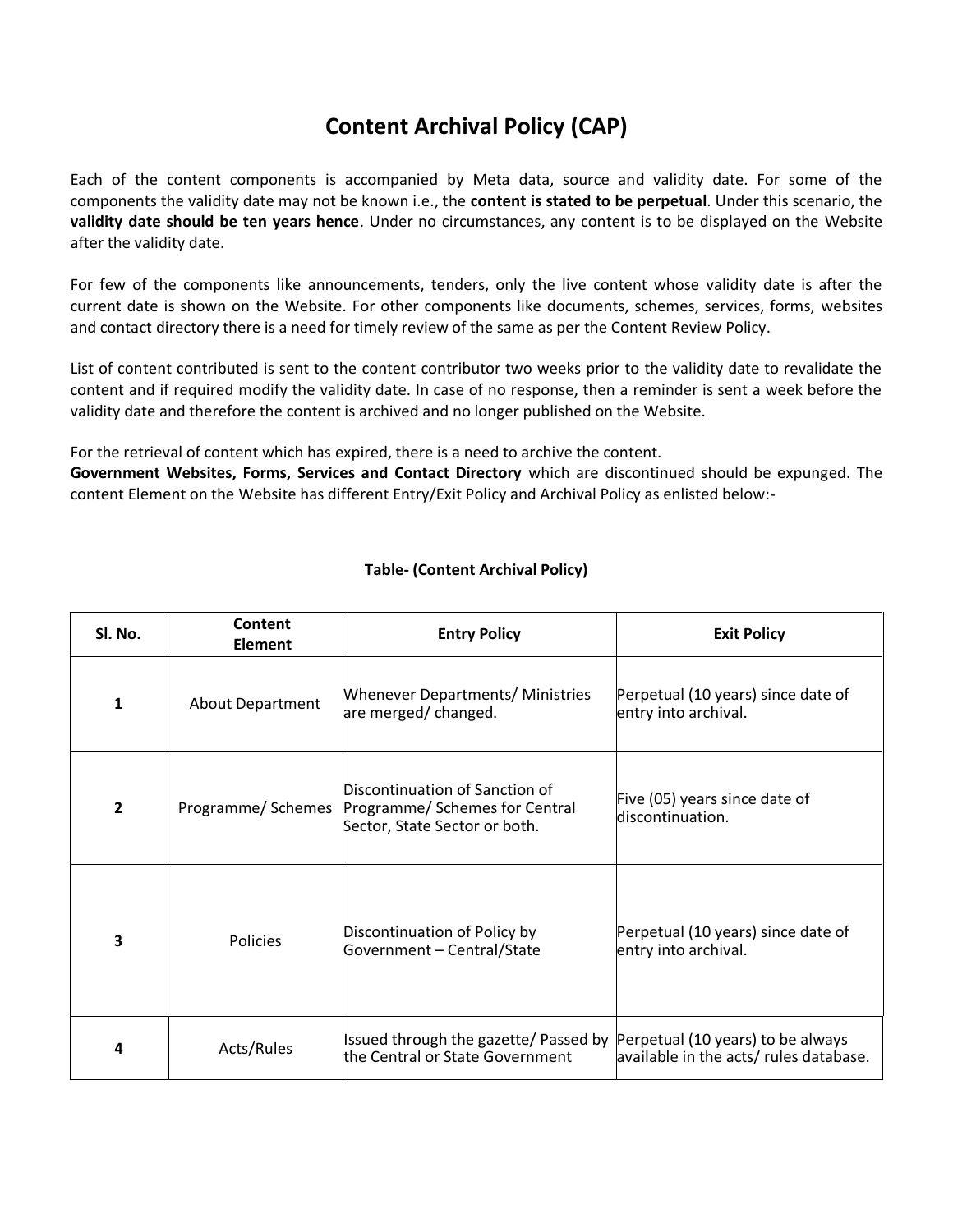## **Content Archival Policy (CAP)**

Each of the content components is accompanied by Meta data, source and validity date. For some of the components the validity date may not be known i.e., the **content is stated to be perpetual**. Under this scenario, the **validity date should be ten years hence**. Under no circumstances, any content is to be displayed on the Website after the validity date.

For few of the components like announcements, tenders, only the live content whose validity date is after the current date is shown on the Website. For other components like documents, schemes, services, forms, websites and contact directory there is a need for timely review of the same as per the Content Review Policy.

List of content contributed is sent to the content contributor two weeks prior to the validity date to revalidate the content and if required modify the validity date. In case of no response, then a reminder is sent a week before the validity date and therefore the content is archived and no longer published on the Website.

For the retrieval of content which has expired, there is a need to archive the content.

**Government Websites, Forms, Services and Contact Directory** which are discontinued should be expunged. The content Element on the Website has different Entry/Exit Policy and Archival Policy as enlisted below:-

| SI. No.        | Content<br><b>Element</b> | <b>Entry Policy</b>                                                                               | <b>Exit Policy</b>                                                          |
|----------------|---------------------------|---------------------------------------------------------------------------------------------------|-----------------------------------------------------------------------------|
| 1              | <b>About Department</b>   | <b>Whenever Departments/ Ministries</b><br>are merged/changed.                                    | Perpetual (10 years) since date of<br>entry into archival.                  |
| $\overline{2}$ | Programme/Schemes         | Discontinuation of Sanction of<br>Programme/ Schemes for Central<br>Sector, State Sector or both. | Five (05) years since date of<br>discontinuation.                           |
| 3              | <b>Policies</b>           | Discontinuation of Policy by<br>Government - Central/State                                        | Perpetual (10 years) since date of<br>entry into archival.                  |
| 4              | Acts/Rules                | Issued through the gazette/ Passed by<br>the Central or State Government                          | Perpetual (10 years) to be always<br>available in the acts/ rules database. |

## **Table- (Content Archival Policy)**